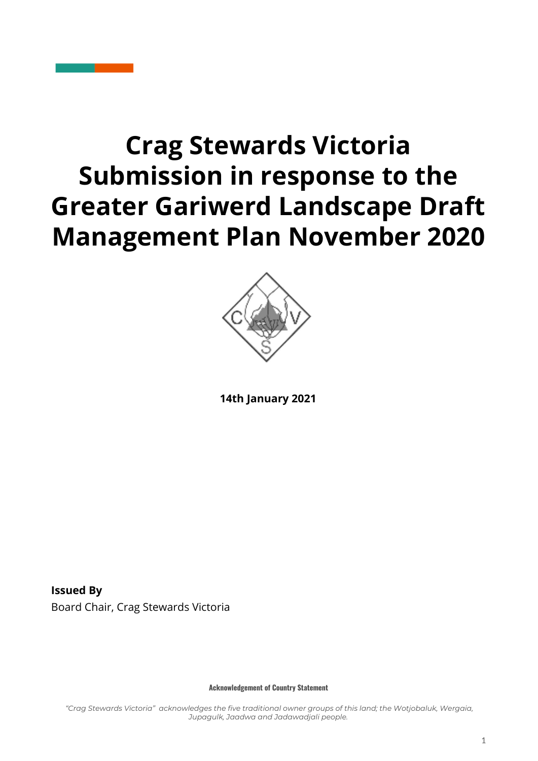# **Crag Stewards Victoria Submission in response to the Greater Gariwerd Landscape Draft Management Plan November 2020**



**14th January 2021**

**Issued By** Board Chair, Crag Stewards Victoria

**Acknowledgement of Country Statement**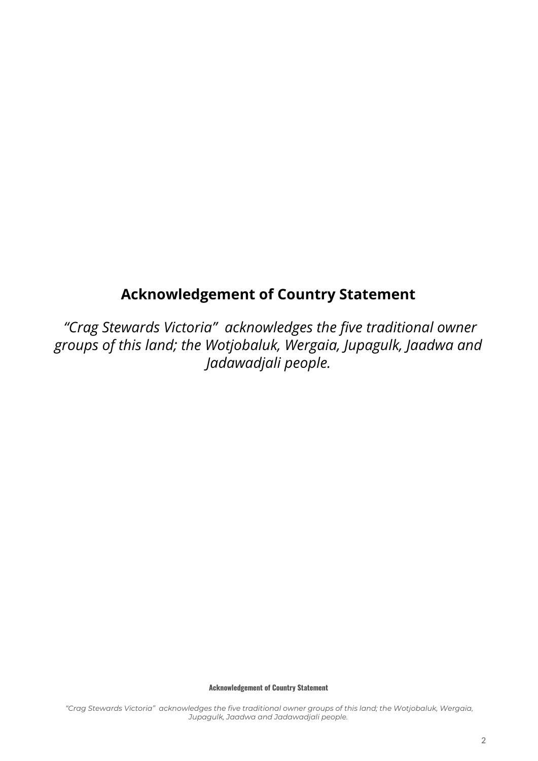## **Acknowledgement of Country Statement**

*"Crag Stewards Victoria" acknowledges the five traditional owner groups of this land; the Wotjobaluk, Wergaia, Jupagulk, Jaadwa and Jadawadjali people.*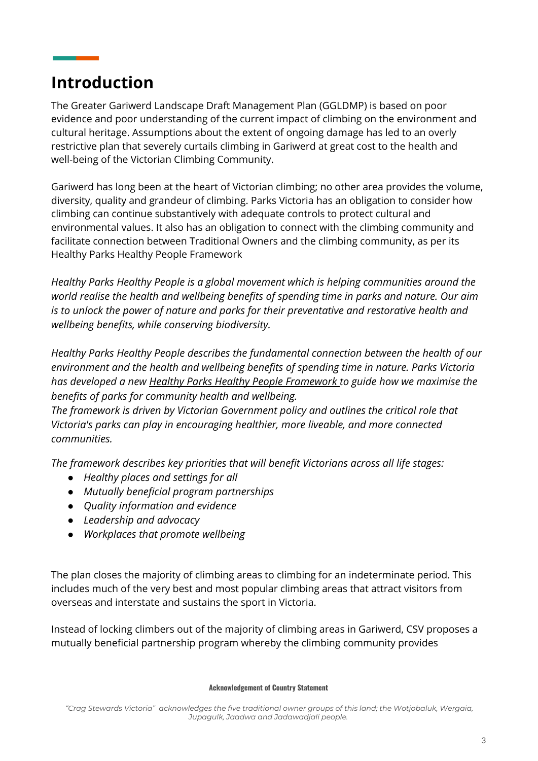# **Introduction**

The Greater Gariwerd Landscape Draft Management Plan (GGLDMP) is based on poor evidence and poor understanding of the current impact of climbing on the environment and cultural heritage. Assumptions about the extent of ongoing damage has led to an overly restrictive plan that severely curtails climbing in Gariwerd at great cost to the health and well-being of the Victorian Climbing Community.

Gariwerd has long been at the heart of Victorian climbing; no other area provides the volume, diversity, quality and grandeur of climbing. Parks Victoria has an obligation to consider how climbing can continue substantively with adequate controls to protect cultural and environmental values. It also has an obligation to connect with the climbing community and facilitate connection between Traditional Owners and the climbing community, as per its Healthy Parks Healthy People Framework

*Healthy Parks Healthy People is a global movement which is helping communities around the world realise the health and wellbeing benefits of spending time in parks and nature. Our aim is to unlock the power of nature and parks for their preventative and restorative health and wellbeing benefits, while conserving biodiversity.*

*Healthy Parks Healthy People describes the fundamental connection between the health of our environment and the health and wellbeing benefits of spending time in nature. Parks Victoria has developed a new Healthy Parks Healthy People [Framework](https://www.parks.vic.gov.au/-/media/project/pv/main/parks/documents/get-into-nature/healthy-parks-healthy-people/200507_hphp-framework_revised-final_compressed.pdf?la=en&hash=9A03616232423CD2E93E3F396EA71FFCA2FFF164) to guide how we maximise the benefits of parks for community health and wellbeing.*

*The framework is driven by Victorian Government policy and outlines the critical role that Victoria's parks can play in encouraging healthier, more liveable, and more connected communities.*

*The framework describes key priorities that will benefit Victorians across all life stages:*

- *● Healthy places and settings for all*
- *● Mutually beneficial program partnerships*
- *● Quality information and evidence*
- *● Leadership and advocacy*
- *● Workplaces that promote wellbeing*

The plan closes the majority of climbing areas to climbing for an indeterminate period. This includes much of the very best and most popular climbing areas that attract visitors from overseas and interstate and sustains the sport in Victoria.

Instead of locking climbers out of the majority of climbing areas in Gariwerd, CSV proposes a mutually beneficial partnership program whereby the climbing community provides

#### **Acknowledgement of Country Statement**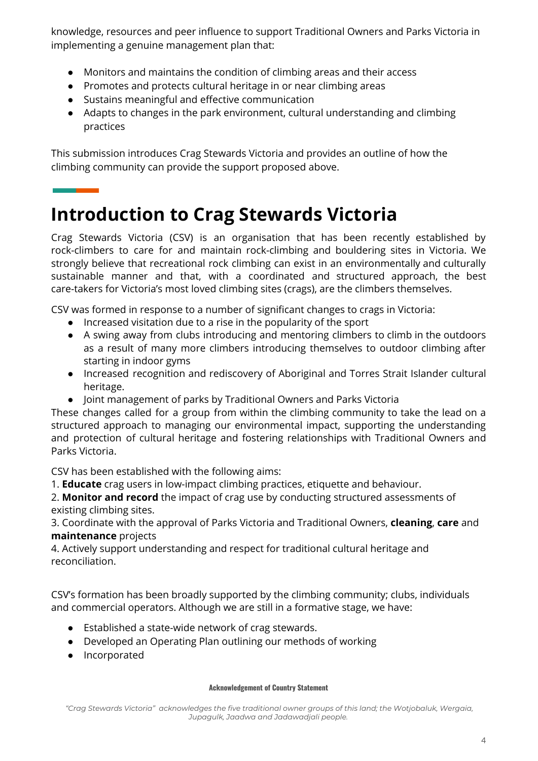knowledge, resources and peer influence to support Traditional Owners and Parks Victoria in implementing a genuine management plan that:

- Monitors and maintains the condition of climbing areas and their access
- Promotes and protects cultural heritage in or near climbing areas
- Sustains meaningful and effective communication
- Adapts to changes in the park environment, cultural understanding and climbing practices

This submission introduces Crag Stewards Victoria and provides an outline of how the climbing community can provide the support proposed above.

# **Introduction to Crag Stewards Victoria**

Crag Stewards Victoria (CSV) is an organisation that has been recently established by rock-climbers to care for and maintain rock-climbing and bouldering sites in Victoria. We strongly believe that recreational rock climbing can exist in an environmentally and culturally sustainable manner and that, with a coordinated and structured approach, the best care-takers for Victoria's most loved climbing sites (crags), are the climbers themselves.

CSV was formed in response to a number of significant changes to crags in Victoria:

- Increased visitation due to a rise in the popularity of the sport
- A swing away from clubs introducing and mentoring climbers to climb in the outdoors as a result of many more climbers introducing themselves to outdoor climbing after starting in indoor gyms
- Increased recognition and rediscovery of Aboriginal and Torres Strait Islander cultural heritage.
- Joint management of parks by Traditional Owners and Parks Victoria

These changes called for a group from within the climbing community to take the lead on a structured approach to managing our environmental impact, supporting the understanding and protection of cultural heritage and fostering relationships with Traditional Owners and Parks Victoria.

CSV has been established with the following aims:

1. **Educate** crag users in low-impact climbing practices, etiquette and behaviour.

2. **Monitor and record** the impact of crag use by conducting structured assessments of existing climbing sites.

3. Coordinate with the approval of Parks Victoria and Traditional Owners, **cleaning**, **care** and **maintenance** projects

4. Actively support understanding and respect for traditional cultural heritage and reconciliation.

CSV's formation has been broadly supported by the climbing community; clubs, individuals and commercial operators. Although we are still in a formative stage, we have:

- Established a state-wide network of crag stewards.
- Developed an Operating Plan outlining our methods of working
- Incorporated

#### **Acknowledgement of Country Statement**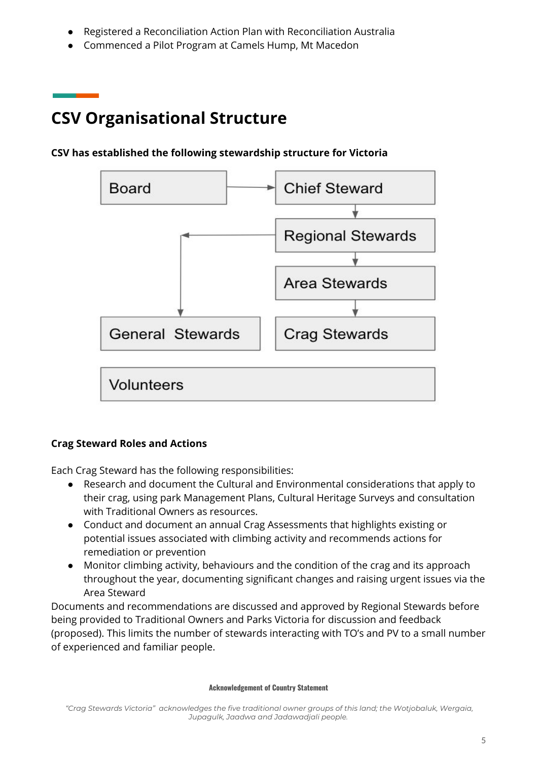- Registered a Reconciliation Action Plan with Reconciliation Australia
- Commenced a Pilot Program at Camels Hump, Mt Macedon

# **CSV Organisational Structure**

# **Chief Steward Board Regional Stewards** Area Stewards General Stewards **Crag Stewards** Volunteers

### **CSV has established the following stewardship structure for Victoria**

### **Crag Steward Roles and Actions**

Each Crag Steward has the following responsibilities:

- Research and document the Cultural and Environmental considerations that apply to their crag, using park Management Plans, Cultural Heritage Surveys and consultation with Traditional Owners as resources.
- Conduct and document an annual Crag Assessments that highlights existing or potential issues associated with climbing activity and recommends actions for remediation or prevention
- Monitor climbing activity, behaviours and the condition of the crag and its approach throughout the year, documenting significant changes and raising urgent issues via the Area Steward

Documents and recommendations are discussed and approved by Regional Stewards before being provided to Traditional Owners and Parks Victoria for discussion and feedback (proposed). This limits the number of stewards interacting with TO's and PV to a small number of experienced and familiar people.

*<sup>&</sup>quot;Crag Stewards Victoria" acknowledges the five traditional owner groups of this land; the Wotjobaluk, Wergaia, Jupagulk, Jaadwa and Jadawadjali people.*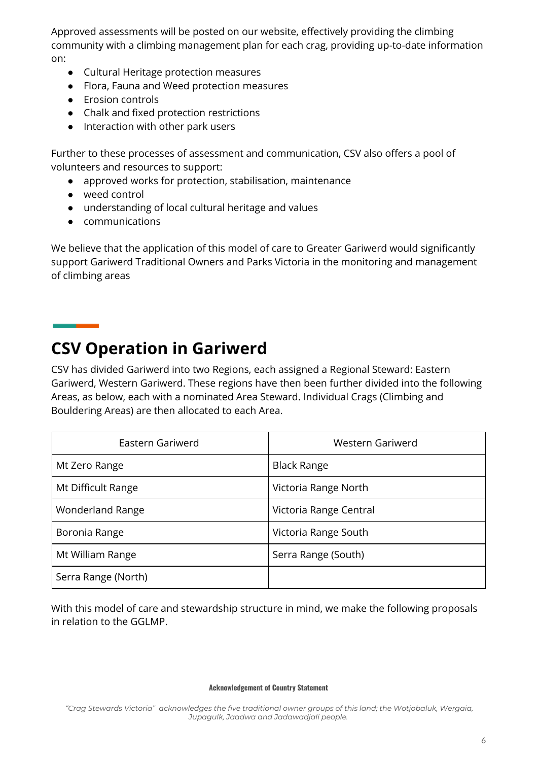Approved assessments will be posted on our website, effectively providing the climbing community with a climbing management plan for each crag, providing up-to-date information on:

- Cultural Heritage protection measures
- Flora, Fauna and Weed protection measures
- Erosion controls
- Chalk and fixed protection restrictions
- Interaction with other park users

Further to these processes of assessment and communication, CSV also offers a pool of volunteers and resources to support:

- approved works for protection, stabilisation, maintenance
- weed control
- understanding of local cultural heritage and values
- communications

We believe that the application of this model of care to Greater Gariwerd would significantly support Gariwerd Traditional Owners and Parks Victoria in the monitoring and management of climbing areas

# **CSV Operation in Gariwerd**

CSV has divided Gariwerd into two Regions, each assigned a Regional Steward: Eastern Gariwerd, Western Gariwerd. These regions have then been further divided into the following Areas, as below, each with a nominated Area Steward. Individual Crags (Climbing and Bouldering Areas) are then allocated to each Area.

| Eastern Gariwerd        | Western Gariwerd       |
|-------------------------|------------------------|
| Mt Zero Range           | <b>Black Range</b>     |
| Mt Difficult Range      | Victoria Range North   |
| <b>Wonderland Range</b> | Victoria Range Central |
| Boronia Range           | Victoria Range South   |
| Mt William Range        | Serra Range (South)    |
| Serra Range (North)     |                        |

With this model of care and stewardship structure in mind, we make the following proposals in relation to the GGLMP.

#### **Acknowledgement of Country Statement**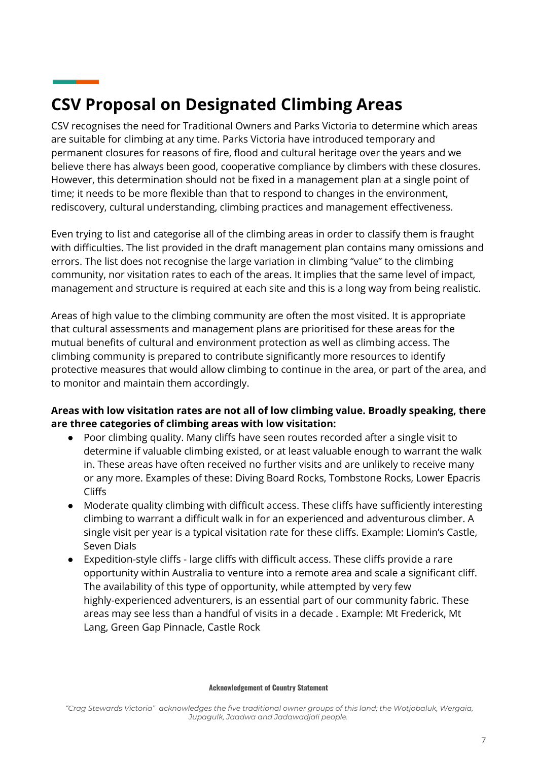# **CSV Proposal on Designated Climbing Areas**

CSV recognises the need for Traditional Owners and Parks Victoria to determine which areas are suitable for climbing at any time. Parks Victoria have introduced temporary and permanent closures for reasons of fire, flood and cultural heritage over the years and we believe there has always been good, cooperative compliance by climbers with these closures. However, this determination should not be fixed in a management plan at a single point of time; it needs to be more flexible than that to respond to changes in the environment, rediscovery, cultural understanding, climbing practices and management effectiveness.

Even trying to list and categorise all of the climbing areas in order to classify them is fraught with difficulties. The list provided in the draft management plan contains many omissions and errors. The list does not recognise the large variation in climbing "value" to the climbing community, nor visitation rates to each of the areas. It implies that the same level of impact, management and structure is required at each site and this is a long way from being realistic.

Areas of high value to the climbing community are often the most visited. It is appropriate that cultural assessments and management plans are prioritised for these areas for the mutual benefits of cultural and environment protection as well as climbing access. The climbing community is prepared to contribute significantly more resources to identify protective measures that would allow climbing to continue in the area, or part of the area, and to monitor and maintain them accordingly.

### **Areas with low visitation rates are not all of low climbing value. Broadly speaking, there are three categories of climbing areas with low visitation:**

- Poor climbing quality. Many cliffs have seen routes recorded after a single visit to determine if valuable climbing existed, or at least valuable enough to warrant the walk in. These areas have often received no further visits and are unlikely to receive many or any more. Examples of these: Diving Board Rocks, Tombstone Rocks, Lower Epacris Cliffs
- Moderate quality climbing with difficult access. These cliffs have sufficiently interesting climbing to warrant a difficult walk in for an experienced and adventurous climber. A single visit per year is a typical visitation rate for these cliffs. Example: Liomin's Castle, Seven Dials
- Expedition-style cliffs large cliffs with difficult access. These cliffs provide a rare opportunity within Australia to venture into a remote area and scale a significant cliff. The availability of this type of opportunity, while attempted by very few highly-experienced adventurers, is an essential part of our community fabric. These areas may see less than a handful of visits in a decade . Example: Mt Frederick, Mt Lang, Green Gap Pinnacle, Castle Rock

*<sup>&</sup>quot;Crag Stewards Victoria" acknowledges the five traditional owner groups of this land; the Wotjobaluk, Wergaia, Jupagulk, Jaadwa and Jadawadjali people.*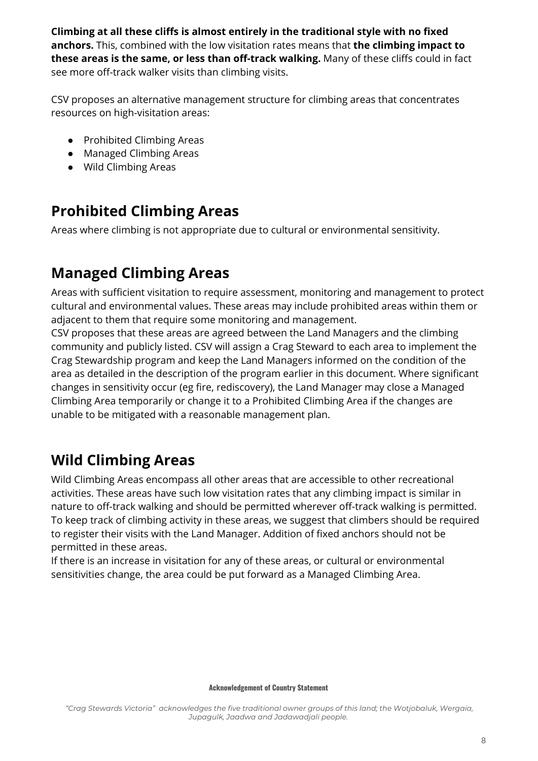**Climbing at all these cliffs is almost entirely in the traditional style with no fixed anchors.** This, combined with the low visitation rates means that **the climbing impact to these areas is the same, or less than off-track walking.** Many of these cliffs could in fact see more off-track walker visits than climbing visits.

CSV proposes an alternative management structure for climbing areas that concentrates resources on high-visitation areas:

- Prohibited Climbing Areas
- Managed Climbing Areas
- Wild Climbing Areas

# **Prohibited Climbing Areas**

Areas where climbing is not appropriate due to cultural or environmental sensitivity.

# **Managed Climbing Areas**

Areas with sufficient visitation to require assessment, monitoring and management to protect cultural and environmental values. These areas may include prohibited areas within them or adjacent to them that require some monitoring and management.

CSV proposes that these areas are agreed between the Land Managers and the climbing community and publicly listed. CSV will assign a Crag Steward to each area to implement the Crag Stewardship program and keep the Land Managers informed on the condition of the area as detailed in the description of the program earlier in this document. Where significant changes in sensitivity occur (eg fire, rediscovery), the Land Manager may close a Managed Climbing Area temporarily or change it to a Prohibited Climbing Area if the changes are unable to be mitigated with a reasonable management plan.

# **Wild Climbing Areas**

Wild Climbing Areas encompass all other areas that are accessible to other recreational activities. These areas have such low visitation rates that any climbing impact is similar in nature to off-track walking and should be permitted wherever off-track walking is permitted. To keep track of climbing activity in these areas, we suggest that climbers should be required to register their visits with the Land Manager. Addition of fixed anchors should not be permitted in these areas.

If there is an increase in visitation for any of these areas, or cultural or environmental sensitivities change, the area could be put forward as a Managed Climbing Area.

#### **Acknowledgement of Country Statement**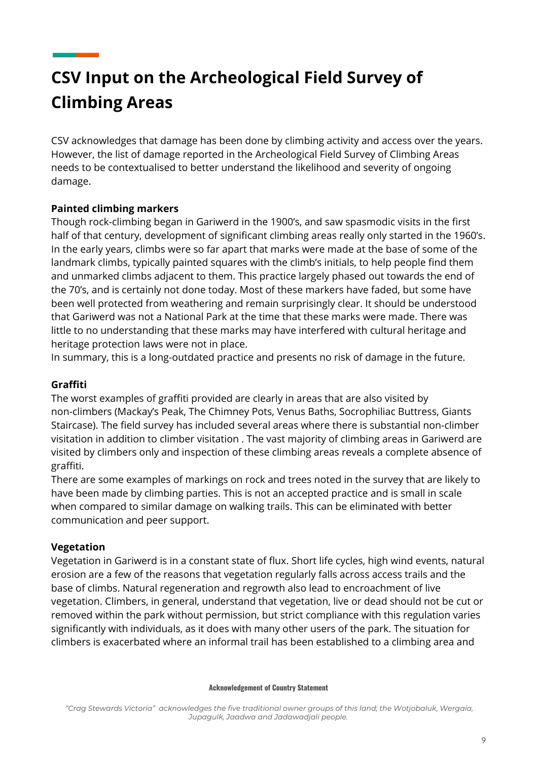# **CSV Input on the Archeological Field Survey of Climbing Areas**

CSV acknowledges that damage has been done by climbing activity and access over the years. However, the list of damage reported in the Archeological Field Survey of Climbing Areas needs to be contextualised to better understand the likelihood and severity of ongoing damage.

### **Painted climbing markers**

Though rock-climbing began in Gariwerd in the 1900's, and saw spasmodic visits in the first half of that century, development of significant climbing areas really only started in the 1960's. In the early years, climbs were so far apart that marks were made at the base of some of the landmark climbs, typically painted squares with the climb's initials, to help people find them and unmarked climbs adjacent to them. This practice largely phased out towards the end of the 70's, and is certainly not done today. Most of these markers have faded, but some have been well protected from weathering and remain surprisingly clear. It should be understood that Gariwerd was not a National Park at the time that these marks were made. There was little to no understanding that these marks may have interfered with cultural heritage and heritage protection laws were not in place.

In summary, this is a long-outdated practice and presents no risk of damage in the future.

### **Graffiti**

The worst examples of graffiti provided are clearly in areas that are also visited by non-climbers (Mackay's Peak, The Chimney Pots, Venus Baths, Socrophiliac Buttress, Giants Staircase). The field survey has included several areas where there is substantial non-climber visitation in addition to climber visitation . The vast majority of climbing areas in Gariwerd are visited by climbers only and inspection of these climbing areas reveals a complete absence of graffiti.

There are some examples of markings on rock and trees noted in the survey that are likely to have been made by climbing parties. This is not an accepted practice and is small in scale when compared to similar damage on walking trails. This can be eliminated with better communication and peer support.

### **Vegetation**

Vegetation in Gariwerd is in a constant state of flux. Short life cycles, high wind events, natural erosion are a few of the reasons that vegetation regularly falls across access trails and the base of climbs. Natural regeneration and regrowth also lead to encroachment of live vegetation. Climbers, in general, understand that vegetation, live or dead should not be cut or removed within the park without permission, but strict compliance with this regulation varies significantly with individuals, as it does with many other users of the park. The situation for climbers is exacerbated where an informal trail has been established to a climbing area and

#### **Acknowledgement of Country Statement**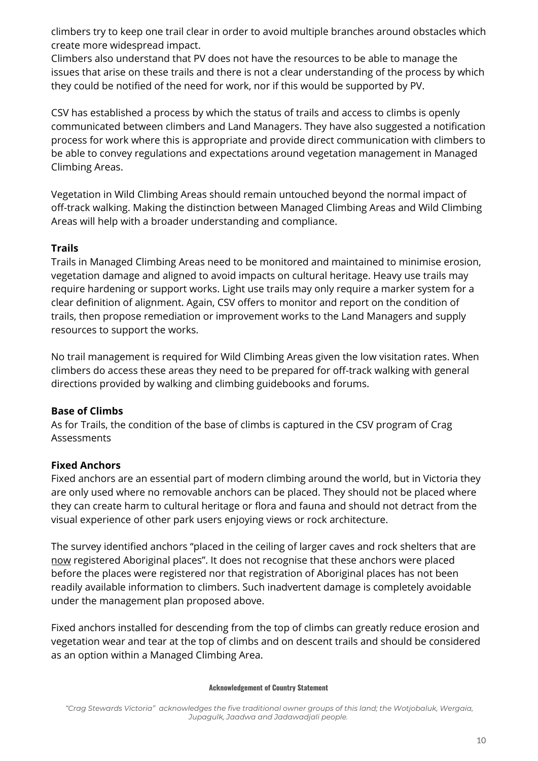climbers try to keep one trail clear in order to avoid multiple branches around obstacles which create more widespread impact.

Climbers also understand that PV does not have the resources to be able to manage the issues that arise on these trails and there is not a clear understanding of the process by which they could be notified of the need for work, nor if this would be supported by PV.

CSV has established a process by which the status of trails and access to climbs is openly communicated between climbers and Land Managers. They have also suggested a notification process for work where this is appropriate and provide direct communication with climbers to be able to convey regulations and expectations around vegetation management in Managed Climbing Areas.

Vegetation in Wild Climbing Areas should remain untouched beyond the normal impact of off-track walking. Making the distinction between Managed Climbing Areas and Wild Climbing Areas will help with a broader understanding and compliance.

### **Trails**

Trails in Managed Climbing Areas need to be monitored and maintained to minimise erosion, vegetation damage and aligned to avoid impacts on cultural heritage. Heavy use trails may require hardening or support works. Light use trails may only require a marker system for a clear definition of alignment. Again, CSV offers to monitor and report on the condition of trails, then propose remediation or improvement works to the Land Managers and supply resources to support the works.

No trail management is required for Wild Climbing Areas given the low visitation rates. When climbers do access these areas they need to be prepared for off-track walking with general directions provided by walking and climbing guidebooks and forums.

### **Base of Climbs**

As for Trails, the condition of the base of climbs is captured in the CSV program of Crag Assessments

### **Fixed Anchors**

Fixed anchors are an essential part of modern climbing around the world, but in Victoria they are only used where no removable anchors can be placed. They should not be placed where they can create harm to cultural heritage or flora and fauna and should not detract from the visual experience of other park users enjoying views or rock architecture.

The survey identified anchors "placed in the ceiling of larger caves and rock shelters that are now registered Aboriginal places". It does not recognise that these anchors were placed before the places were registered nor that registration of Aboriginal places has not been readily available information to climbers. Such inadvertent damage is completely avoidable under the management plan proposed above.

Fixed anchors installed for descending from the top of climbs can greatly reduce erosion and vegetation wear and tear at the top of climbs and on descent trails and should be considered as an option within a Managed Climbing Area.

#### **Acknowledgement of Country Statement**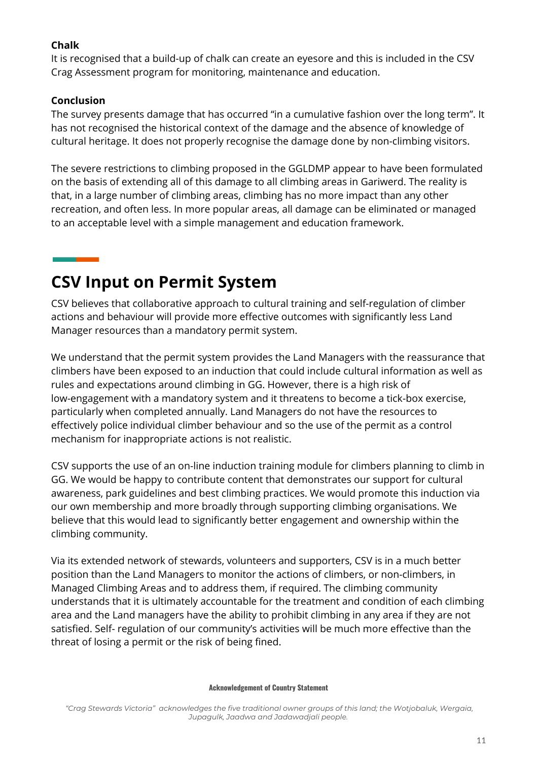### **Chalk**

It is recognised that a build-up of chalk can create an eyesore and this is included in the CSV Crag Assessment program for monitoring, maintenance and education.

### **Conclusion**

The survey presents damage that has occurred "in a cumulative fashion over the long term". It has not recognised the historical context of the damage and the absence of knowledge of cultural heritage. It does not properly recognise the damage done by non-climbing visitors.

The severe restrictions to climbing proposed in the GGLDMP appear to have been formulated on the basis of extending all of this damage to all climbing areas in Gariwerd. The reality is that, in a large number of climbing areas, climbing has no more impact than any other recreation, and often less. In more popular areas, all damage can be eliminated or managed to an acceptable level with a simple management and education framework.

# **CSV Input on Permit System**

CSV believes that collaborative approach to cultural training and self-regulation of climber actions and behaviour will provide more effective outcomes with significantly less Land Manager resources than a mandatory permit system.

We understand that the permit system provides the Land Managers with the reassurance that climbers have been exposed to an induction that could include cultural information as well as rules and expectations around climbing in GG. However, there is a high risk of low-engagement with a mandatory system and it threatens to become a tick-box exercise, particularly when completed annually. Land Managers do not have the resources to effectively police individual climber behaviour and so the use of the permit as a control mechanism for inappropriate actions is not realistic.

CSV supports the use of an on-line induction training module for climbers planning to climb in GG. We would be happy to contribute content that demonstrates our support for cultural awareness, park guidelines and best climbing practices. We would promote this induction via our own membership and more broadly through supporting climbing organisations. We believe that this would lead to significantly better engagement and ownership within the climbing community.

Via its extended network of stewards, volunteers and supporters, CSV is in a much better position than the Land Managers to monitor the actions of climbers, or non-climbers, in Managed Climbing Areas and to address them, if required. The climbing community understands that it is ultimately accountable for the treatment and condition of each climbing area and the Land managers have the ability to prohibit climbing in any area if they are not satisfied. Self- regulation of our community's activities will be much more effective than the threat of losing a permit or the risk of being fined.

#### **Acknowledgement of Country Statement**